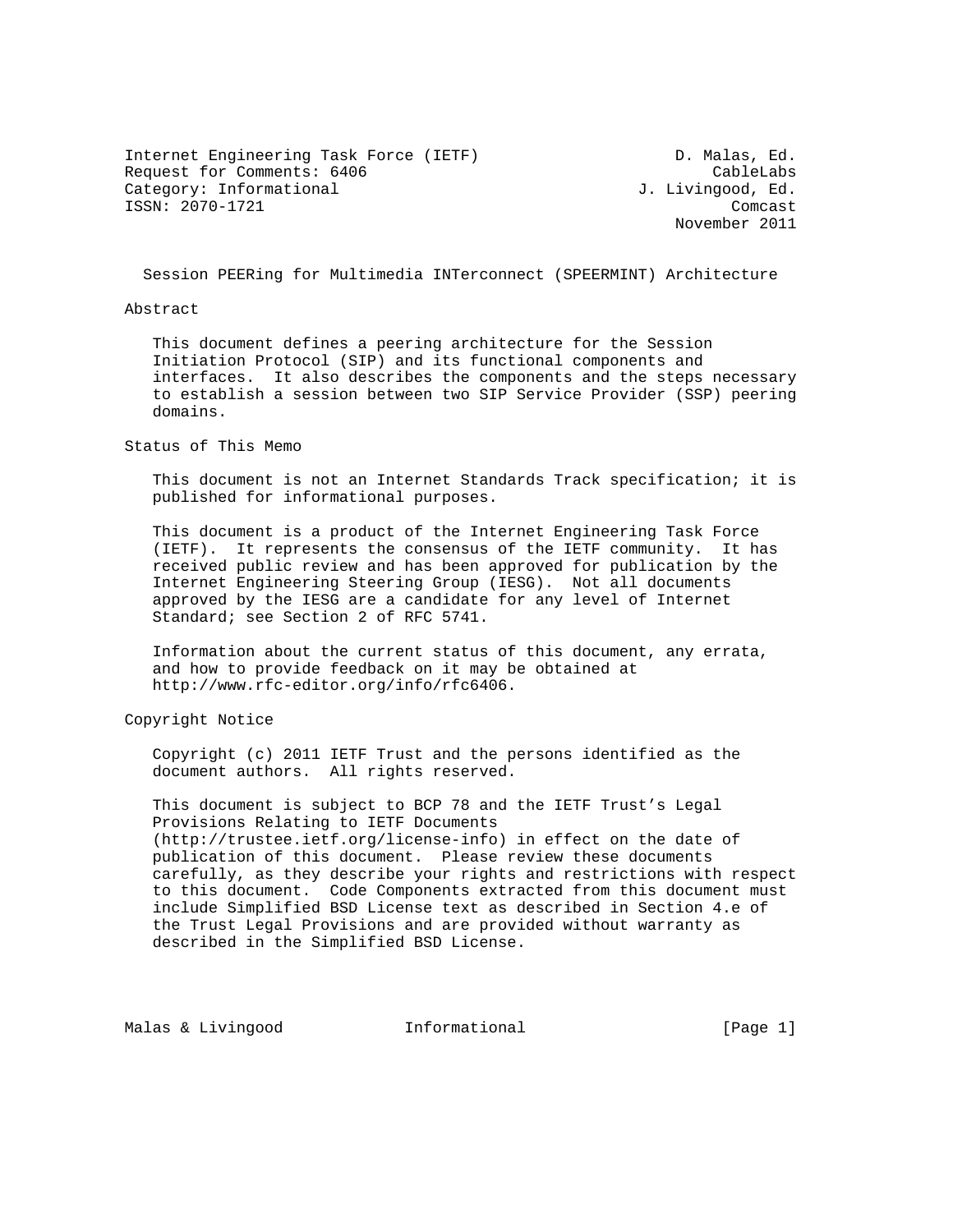Internet Engineering Task Force (IETF) D. Malas, Ed. Request for Comments: 6406 CableLabs Category: Informational  $J.$  Livingood, Ed. ISSN: 2070-1721 Comcast

November 2011

Session PEERing for Multimedia INTerconnect (SPEERMINT) Architecture

#### Abstract

 This document defines a peering architecture for the Session Initiation Protocol (SIP) and its functional components and interfaces. It also describes the components and the steps necessary to establish a session between two SIP Service Provider (SSP) peering domains.

Status of This Memo

 This document is not an Internet Standards Track specification; it is published for informational purposes.

 This document is a product of the Internet Engineering Task Force (IETF). It represents the consensus of the IETF community. It has received public review and has been approved for publication by the Internet Engineering Steering Group (IESG). Not all documents approved by the IESG are a candidate for any level of Internet Standard; see Section 2 of RFC 5741.

 Information about the current status of this document, any errata, and how to provide feedback on it may be obtained at http://www.rfc-editor.org/info/rfc6406.

Copyright Notice

 Copyright (c) 2011 IETF Trust and the persons identified as the document authors. All rights reserved.

 This document is subject to BCP 78 and the IETF Trust's Legal Provisions Relating to IETF Documents (http://trustee.ietf.org/license-info) in effect on the date of publication of this document. Please review these documents carefully, as they describe your rights and restrictions with respect to this document. Code Components extracted from this document must include Simplified BSD License text as described in Section 4.e of the Trust Legal Provisions and are provided without warranty as described in the Simplified BSD License.

Malas & Livingood 1nformational 11 [Page 1]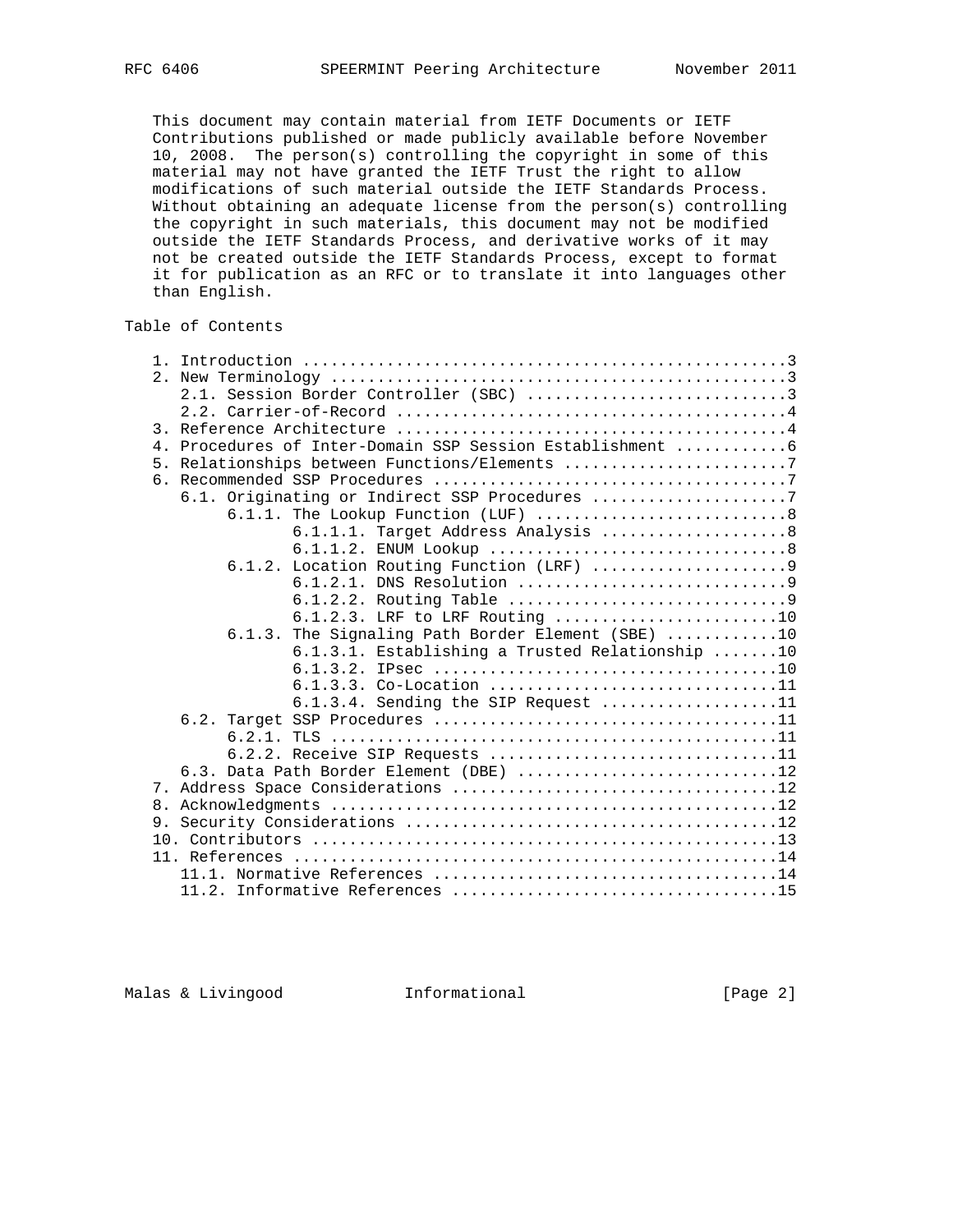This document may contain material from IETF Documents or IETF Contributions published or made publicly available before November 10, 2008. The person(s) controlling the copyright in some of this material may not have granted the IETF Trust the right to allow modifications of such material outside the IETF Standards Process. Without obtaining an adequate license from the person(s) controlling the copyright in such materials, this document may not be modified outside the IETF Standards Process, and derivative works of it may not be created outside the IETF Standards Process, except to format it for publication as an RFC or to translate it into languages other than English.

# Table of Contents

|                  | 2.1. Session Border Controller (SBC) 3            |
|------------------|---------------------------------------------------|
|                  |                                                   |
| $\overline{3}$ . |                                                   |
| $4$ .            |                                                   |
|                  | 5. Relationships between Functions/Elements 7     |
|                  |                                                   |
|                  | 6.1. Originating or Indirect SSP Procedures 7     |
|                  | 6.1.1. The Lookup Function (LUF) 8                |
|                  | 6.1.1.1. Target Address Analysis 8                |
|                  |                                                   |
|                  |                                                   |
|                  |                                                   |
|                  |                                                   |
|                  | 6.1.2.3. LRF to LRF Routing 10                    |
|                  | 6.1.3. The Signaling Path Border Element (SBE) 10 |
|                  | 6.1.3.1. Establishing a Trusted Relationship 10   |
|                  |                                                   |
|                  | 6.1.3.3. Co-Location 11                           |
|                  | 6.1.3.4. Sending the SIP Request 11               |
|                  |                                                   |
|                  |                                                   |
|                  | 6.2.2. Receive SIP Requests 11                    |
|                  | 6.3. Data Path Border Element (DBE) 12            |
|                  |                                                   |
|                  |                                                   |
|                  |                                                   |
|                  |                                                   |
|                  |                                                   |
|                  |                                                   |
|                  |                                                   |

Malas & Livingood **Informational Informational** [Page 2]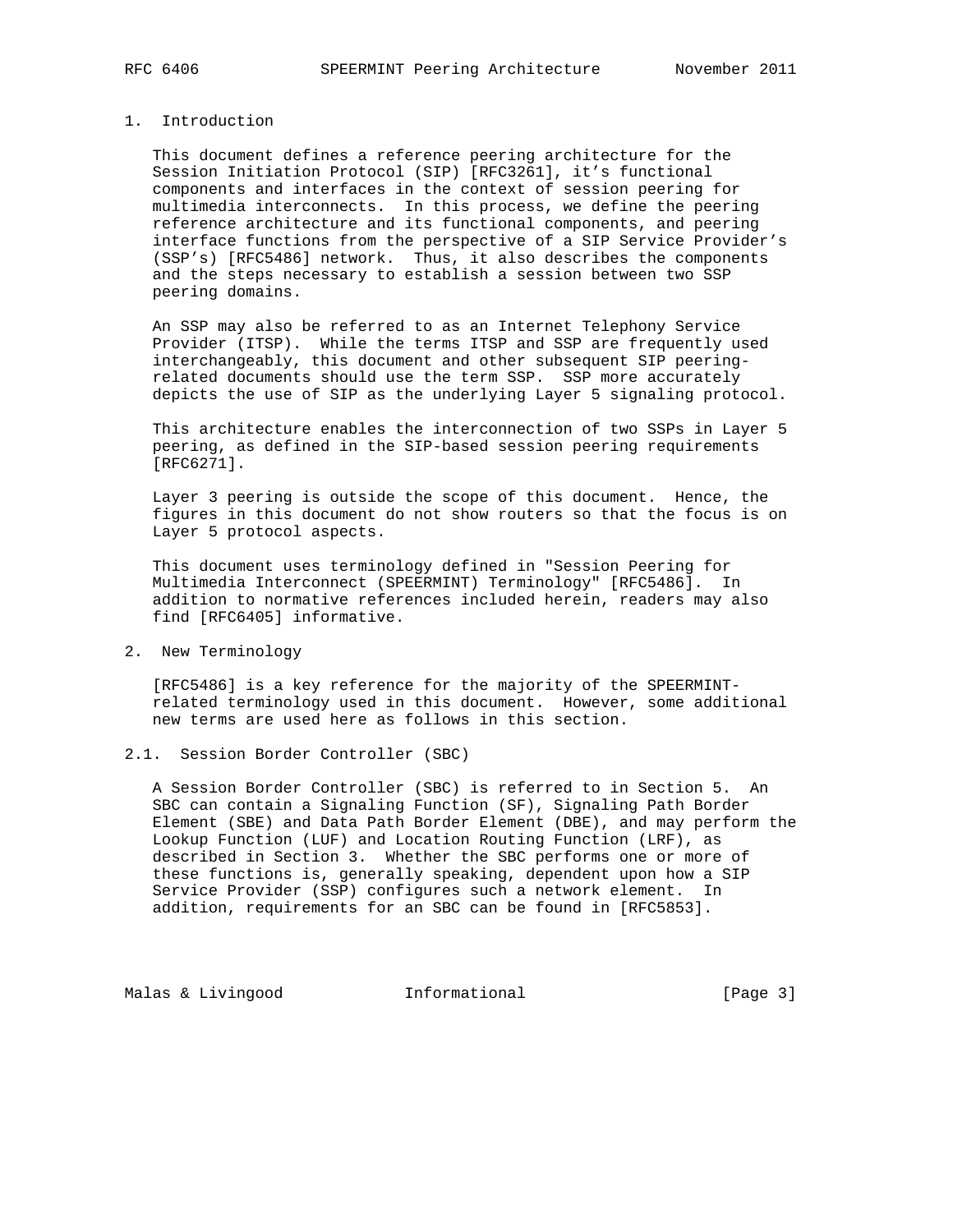# 1. Introduction

 This document defines a reference peering architecture for the Session Initiation Protocol (SIP) [RFC3261], it's functional components and interfaces in the context of session peering for multimedia interconnects. In this process, we define the peering reference architecture and its functional components, and peering interface functions from the perspective of a SIP Service Provider's (SSP's) [RFC5486] network. Thus, it also describes the components and the steps necessary to establish a session between two SSP peering domains.

 An SSP may also be referred to as an Internet Telephony Service Provider (ITSP). While the terms ITSP and SSP are frequently used interchangeably, this document and other subsequent SIP peering related documents should use the term SSP. SSP more accurately depicts the use of SIP as the underlying Layer 5 signaling protocol.

 This architecture enables the interconnection of two SSPs in Layer 5 peering, as defined in the SIP-based session peering requirements [RFC6271].

 Layer 3 peering is outside the scope of this document. Hence, the figures in this document do not show routers so that the focus is on Layer 5 protocol aspects.

 This document uses terminology defined in "Session Peering for Multimedia Interconnect (SPEERMINT) Terminology" [RFC5486]. In addition to normative references included herein, readers may also find [RFC6405] informative.

2. New Terminology

 [RFC5486] is a key reference for the majority of the SPEERMINT related terminology used in this document. However, some additional new terms are used here as follows in this section.

2.1. Session Border Controller (SBC)

 A Session Border Controller (SBC) is referred to in Section 5. An SBC can contain a Signaling Function (SF), Signaling Path Border Element (SBE) and Data Path Border Element (DBE), and may perform the Lookup Function (LUF) and Location Routing Function (LRF), as described in Section 3. Whether the SBC performs one or more of these functions is, generally speaking, dependent upon how a SIP Service Provider (SSP) configures such a network element. In addition, requirements for an SBC can be found in [RFC5853].

Malas & Livingood **Informational Informational** [Page 3]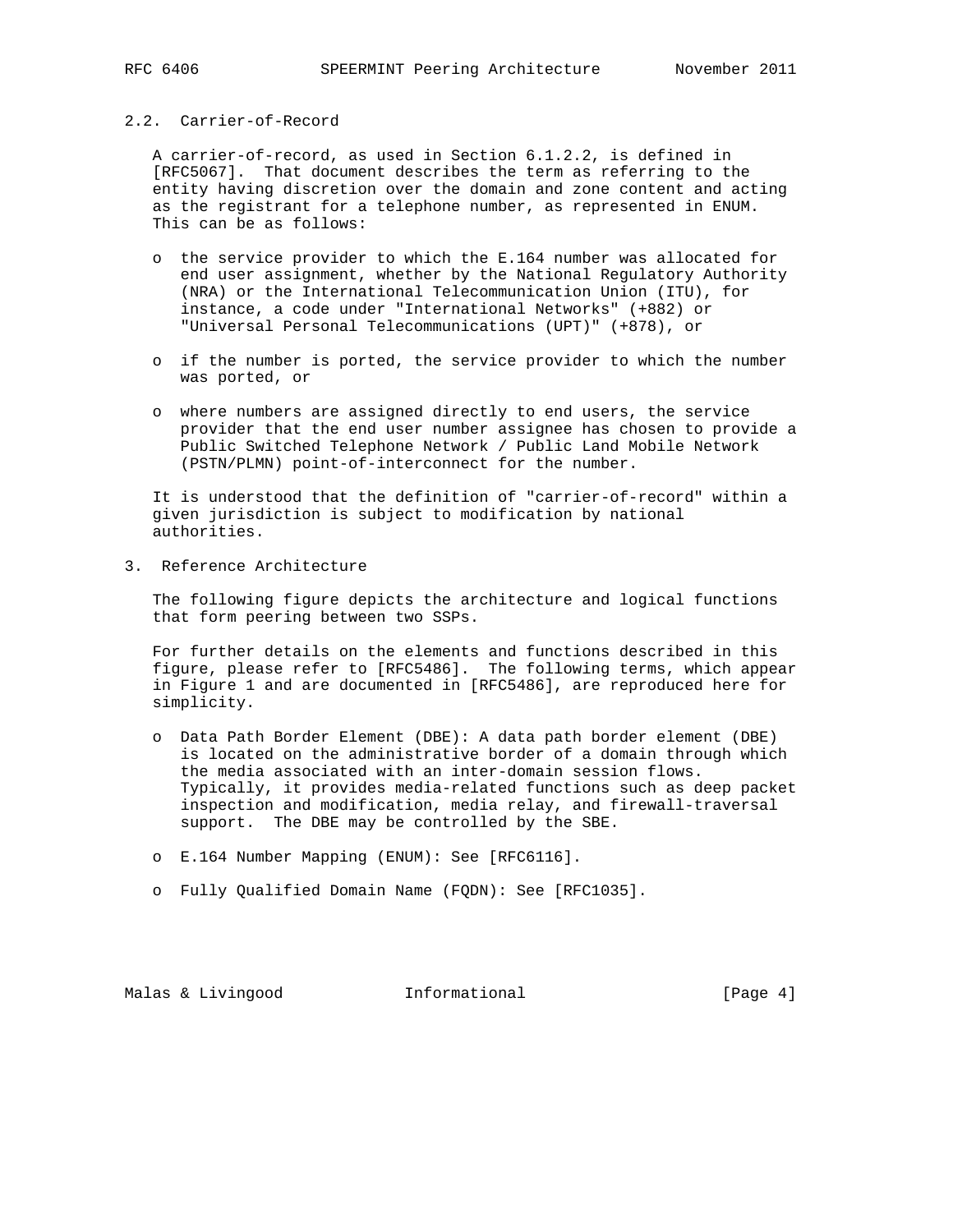# 2.2. Carrier-of-Record

 A carrier-of-record, as used in Section 6.1.2.2, is defined in [RFC5067]. That document describes the term as referring to the entity having discretion over the domain and zone content and acting as the registrant for a telephone number, as represented in ENUM. This can be as follows:

- o the service provider to which the E.164 number was allocated for end user assignment, whether by the National Regulatory Authority (NRA) or the International Telecommunication Union (ITU), for instance, a code under "International Networks" (+882) or "Universal Personal Telecommunications (UPT)" (+878), or
- o if the number is ported, the service provider to which the number was ported, or
- o where numbers are assigned directly to end users, the service provider that the end user number assignee has chosen to provide a Public Switched Telephone Network / Public Land Mobile Network (PSTN/PLMN) point-of-interconnect for the number.

 It is understood that the definition of "carrier-of-record" within a given jurisdiction is subject to modification by national authorities.

3. Reference Architecture

 The following figure depicts the architecture and logical functions that form peering between two SSPs.

 For further details on the elements and functions described in this figure, please refer to [RFC5486]. The following terms, which appear in Figure 1 and are documented in [RFC5486], are reproduced here for simplicity.

- o Data Path Border Element (DBE): A data path border element (DBE) is located on the administrative border of a domain through which the media associated with an inter-domain session flows. Typically, it provides media-related functions such as deep packet inspection and modification, media relay, and firewall-traversal support. The DBE may be controlled by the SBE.
- o E.164 Number Mapping (ENUM): See [RFC6116].
- o Fully Qualified Domain Name (FQDN): See [RFC1035].

Malas & Livingood **Informational** [Page 4]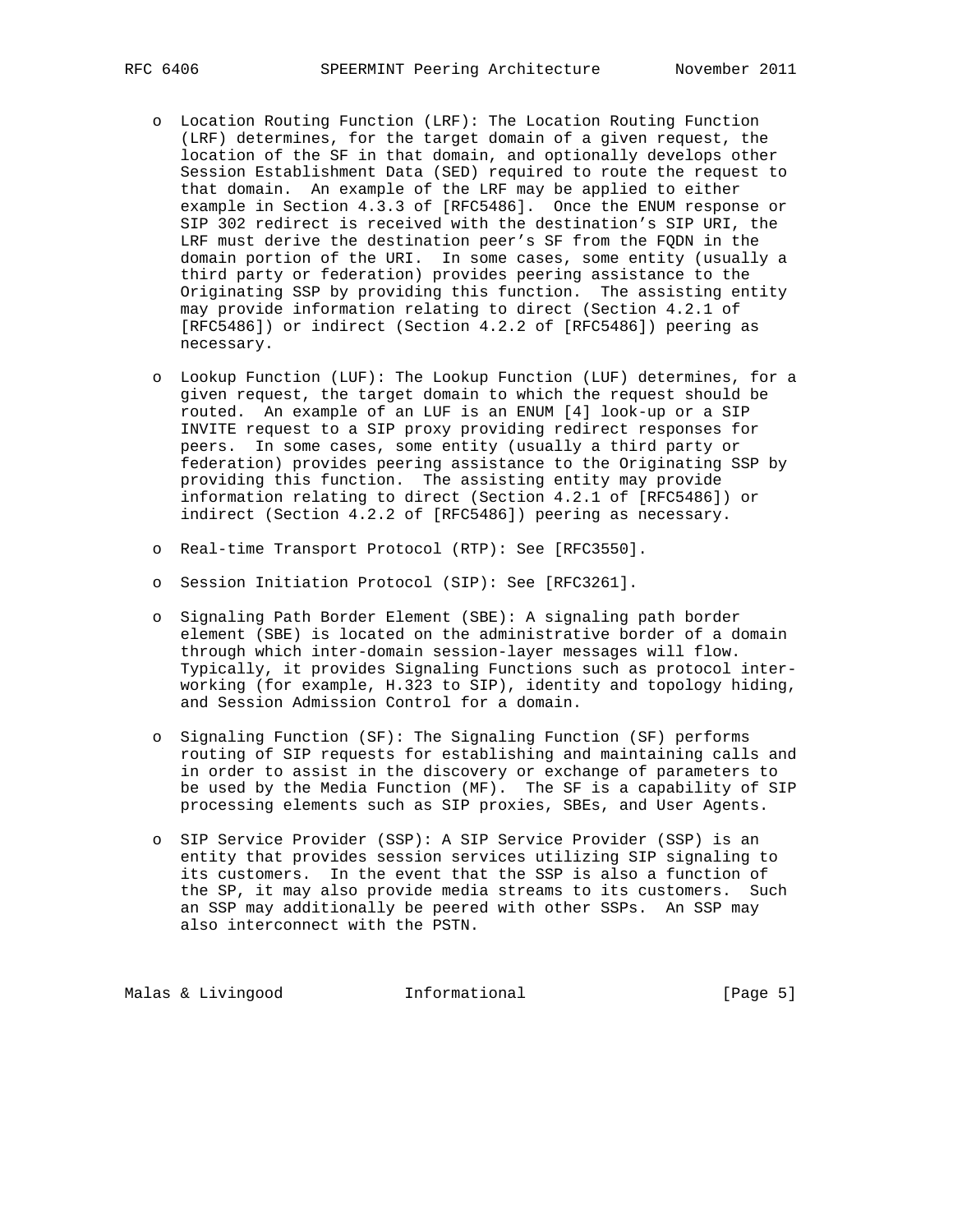- o Location Routing Function (LRF): The Location Routing Function (LRF) determines, for the target domain of a given request, the location of the SF in that domain, and optionally develops other Session Establishment Data (SED) required to route the request to that domain. An example of the LRF may be applied to either example in Section 4.3.3 of [RFC5486]. Once the ENUM response or SIP 302 redirect is received with the destination's SIP URI, the LRF must derive the destination peer's SF from the FQDN in the domain portion of the URI. In some cases, some entity (usually a third party or federation) provides peering assistance to the Originating SSP by providing this function. The assisting entity may provide information relating to direct (Section 4.2.1 of [RFC5486]) or indirect (Section 4.2.2 of [RFC5486]) peering as necessary.
- o Lookup Function (LUF): The Lookup Function (LUF) determines, for a given request, the target domain to which the request should be routed. An example of an LUF is an ENUM [4] look-up or a SIP INVITE request to a SIP proxy providing redirect responses for peers. In some cases, some entity (usually a third party or federation) provides peering assistance to the Originating SSP by providing this function. The assisting entity may provide information relating to direct (Section 4.2.1 of [RFC5486]) or indirect (Section 4.2.2 of [RFC5486]) peering as necessary.
- o Real-time Transport Protocol (RTP): See [RFC3550].
- o Session Initiation Protocol (SIP): See [RFC3261].
- o Signaling Path Border Element (SBE): A signaling path border element (SBE) is located on the administrative border of a domain through which inter-domain session-layer messages will flow. Typically, it provides Signaling Functions such as protocol inter working (for example, H.323 to SIP), identity and topology hiding, and Session Admission Control for a domain.
- o Signaling Function (SF): The Signaling Function (SF) performs routing of SIP requests for establishing and maintaining calls and in order to assist in the discovery or exchange of parameters to be used by the Media Function (MF). The SF is a capability of SIP processing elements such as SIP proxies, SBEs, and User Agents.
- o SIP Service Provider (SSP): A SIP Service Provider (SSP) is an entity that provides session services utilizing SIP signaling to its customers. In the event that the SSP is also a function of the SP, it may also provide media streams to its customers. Such an SSP may additionally be peered with other SSPs. An SSP may also interconnect with the PSTN.

Malas & Livingood **Informational Informational** [Page 5]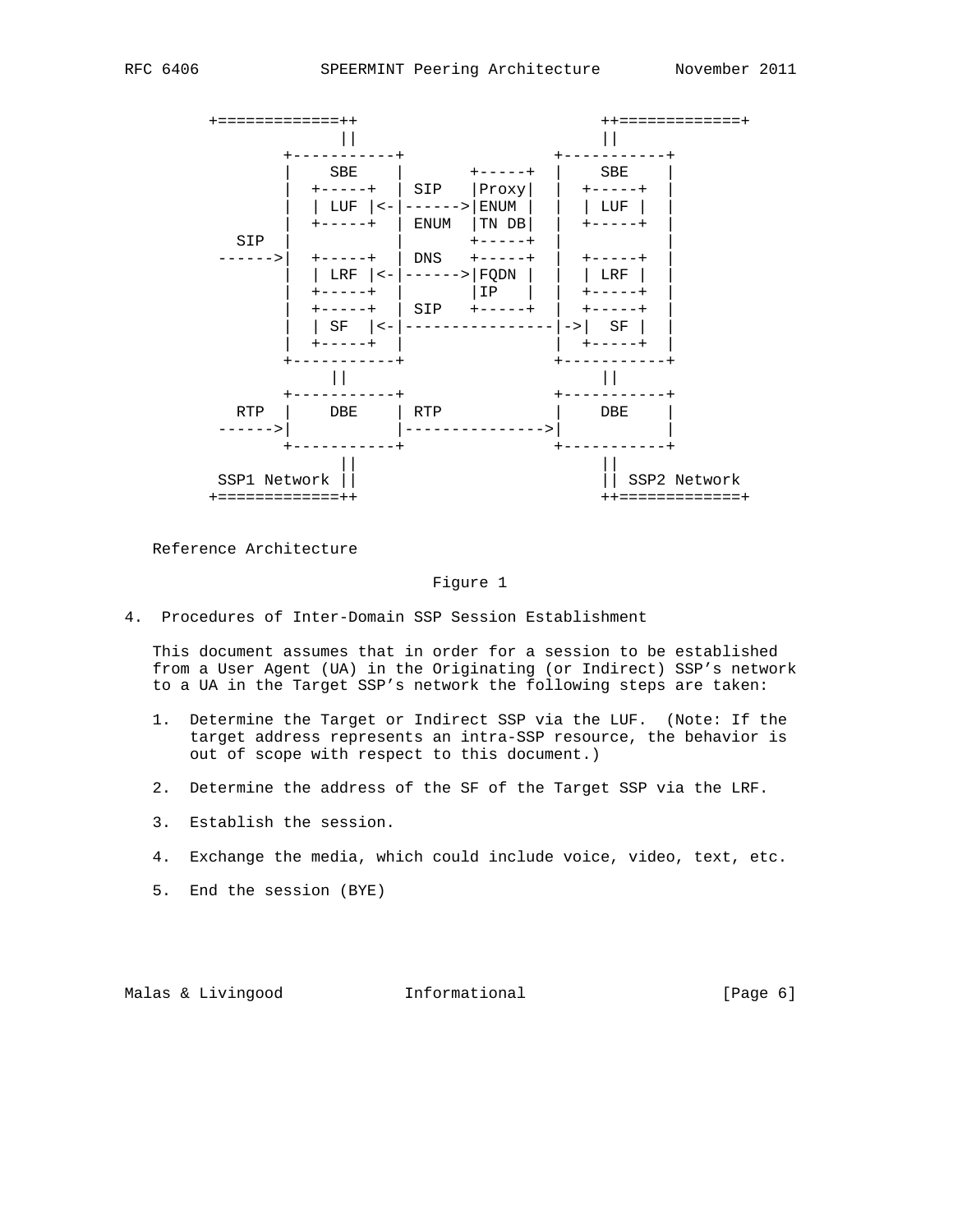

Reference Architecture

#### Figure 1

4. Procedures of Inter-Domain SSP Session Establishment

 This document assumes that in order for a session to be established from a User Agent (UA) in the Originating (or Indirect) SSP's network to a UA in the Target SSP's network the following steps are taken:

- 1. Determine the Target or Indirect SSP via the LUF. (Note: If the target address represents an intra-SSP resource, the behavior is out of scope with respect to this document.)
- 2. Determine the address of the SF of the Target SSP via the LRF.
- 3. Establish the session.
- 4. Exchange the media, which could include voice, video, text, etc.
- 5. End the session (BYE)

Malas & Livingood **Informational** [Page 6]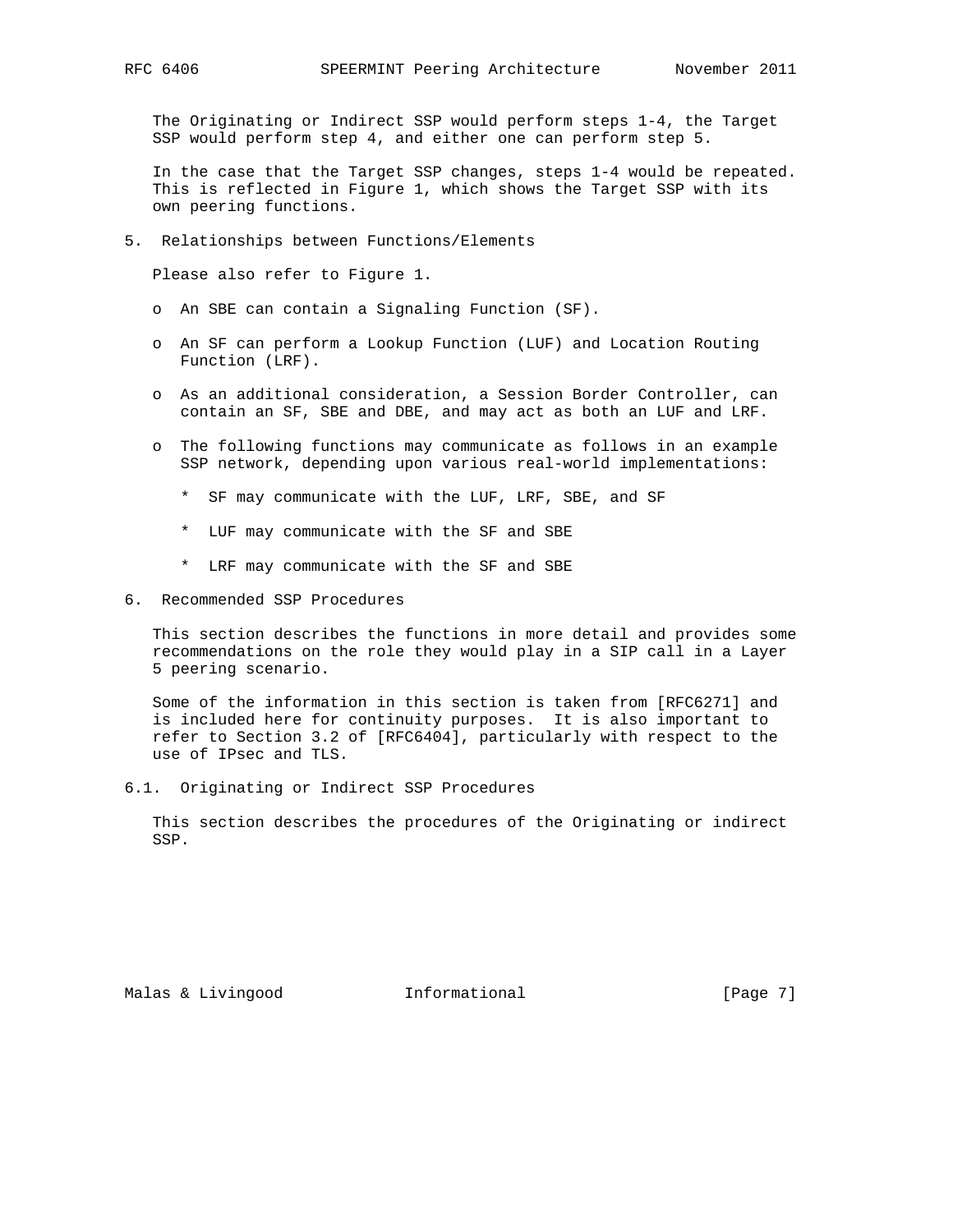The Originating or Indirect SSP would perform steps 1-4, the Target SSP would perform step 4, and either one can perform step 5.

 In the case that the Target SSP changes, steps 1-4 would be repeated. This is reflected in Figure 1, which shows the Target SSP with its own peering functions.

5. Relationships between Functions/Elements

Please also refer to Figure 1.

- o An SBE can contain a Signaling Function (SF).
- o An SF can perform a Lookup Function (LUF) and Location Routing Function (LRF).
- o As an additional consideration, a Session Border Controller, can contain an SF, SBE and DBE, and may act as both an LUF and LRF.
- o The following functions may communicate as follows in an example SSP network, depending upon various real-world implementations:
	- \* SF may communicate with the LUF, LRF, SBE, and SF
	- \* LUF may communicate with the SF and SBE
	- \* LRF may communicate with the SF and SBE
- 6. Recommended SSP Procedures

 This section describes the functions in more detail and provides some recommendations on the role they would play in a SIP call in a Layer 5 peering scenario.

 Some of the information in this section is taken from [RFC6271] and is included here for continuity purposes. It is also important to refer to Section 3.2 of [RFC6404], particularly with respect to the use of IPsec and TLS.

6.1. Originating or Indirect SSP Procedures

 This section describes the procedures of the Originating or indirect SSP.

Malas & Livingood **Informational Informational** [Page 7]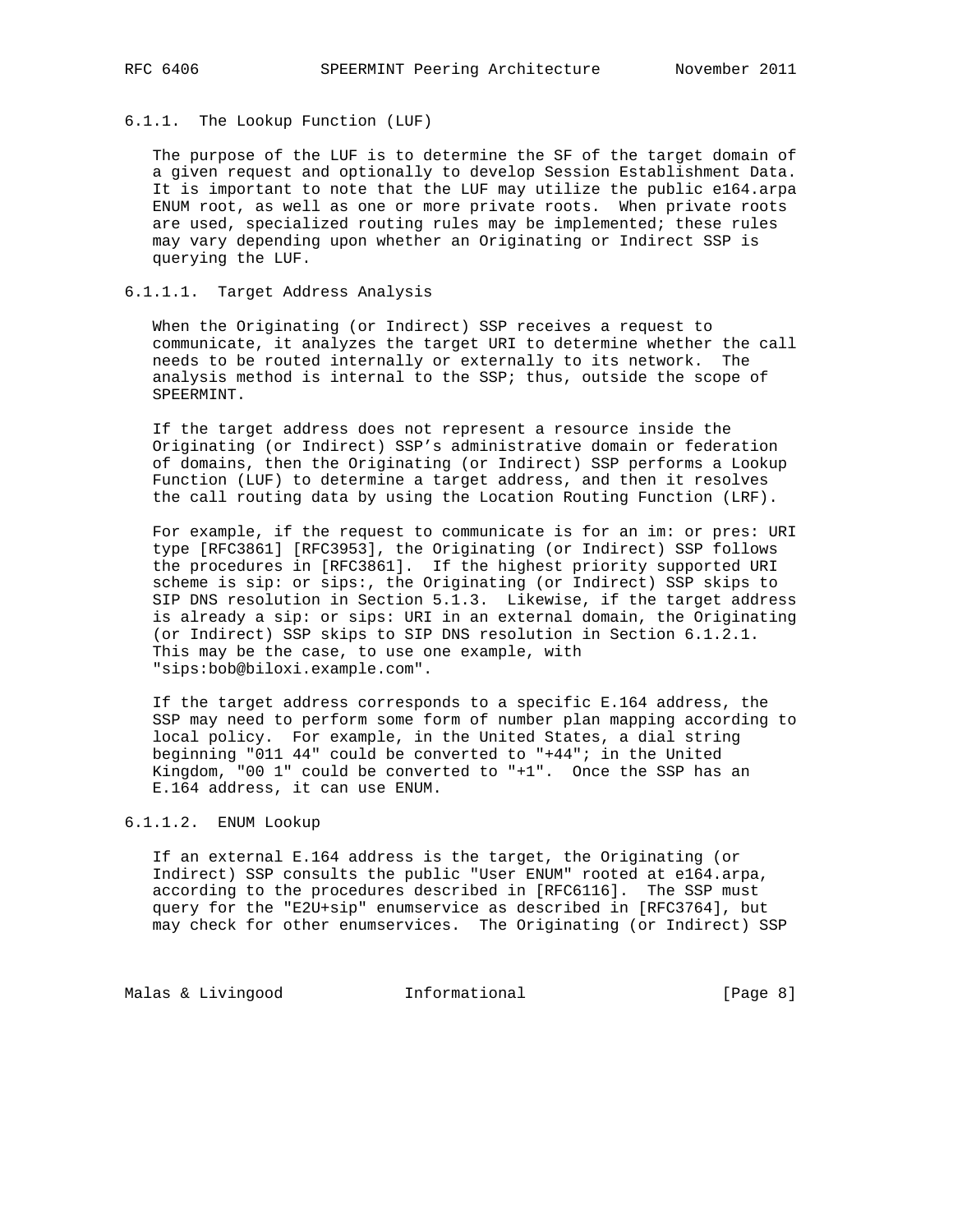## 6.1.1. The Lookup Function (LUF)

 The purpose of the LUF is to determine the SF of the target domain of a given request and optionally to develop Session Establishment Data. It is important to note that the LUF may utilize the public e164.arpa ENUM root, as well as one or more private roots. When private roots are used, specialized routing rules may be implemented; these rules may vary depending upon whether an Originating or Indirect SSP is querying the LUF.

### 6.1.1.1. Target Address Analysis

 When the Originating (or Indirect) SSP receives a request to communicate, it analyzes the target URI to determine whether the call needs to be routed internally or externally to its network. The analysis method is internal to the SSP; thus, outside the scope of SPEERMINT.

 If the target address does not represent a resource inside the Originating (or Indirect) SSP's administrative domain or federation of domains, then the Originating (or Indirect) SSP performs a Lookup Function (LUF) to determine a target address, and then it resolves the call routing data by using the Location Routing Function (LRF).

 For example, if the request to communicate is for an im: or pres: URI type [RFC3861] [RFC3953], the Originating (or Indirect) SSP follows the procedures in [RFC3861]. If the highest priority supported URI scheme is sip: or sips:, the Originating (or Indirect) SSP skips to SIP DNS resolution in Section 5.1.3. Likewise, if the target address is already a sip: or sips: URI in an external domain, the Originating (or Indirect) SSP skips to SIP DNS resolution in Section 6.1.2.1. This may be the case, to use one example, with "sips:bob@biloxi.example.com".

 If the target address corresponds to a specific E.164 address, the SSP may need to perform some form of number plan mapping according to local policy. For example, in the United States, a dial string beginning "011 44" could be converted to "+44"; in the United Kingdom, "00 1" could be converted to "+1". Once the SSP has an E.164 address, it can use ENUM.

# 6.1.1.2. ENUM Lookup

 If an external E.164 address is the target, the Originating (or Indirect) SSP consults the public "User ENUM" rooted at e164.arpa, according to the procedures described in [RFC6116]. The SSP must query for the "E2U+sip" enumservice as described in [RFC3764], but may check for other enumservices. The Originating (or Indirect) SSP

Malas & Livingood **Informational Informational** [Page 8]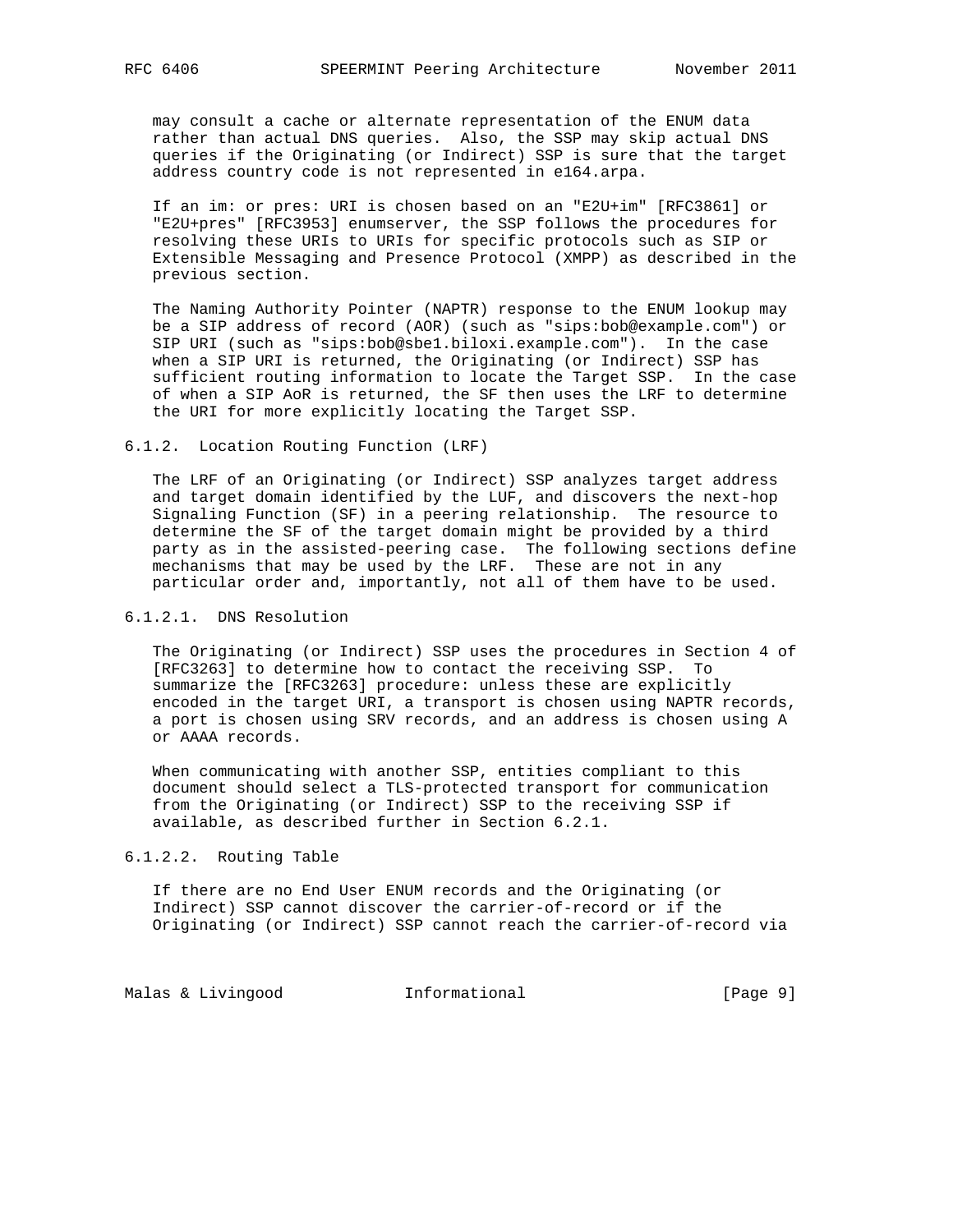may consult a cache or alternate representation of the ENUM data rather than actual DNS queries. Also, the SSP may skip actual DNS queries if the Originating (or Indirect) SSP is sure that the target address country code is not represented in e164.arpa.

 If an im: or pres: URI is chosen based on an "E2U+im" [RFC3861] or "E2U+pres" [RFC3953] enumserver, the SSP follows the procedures for resolving these URIs to URIs for specific protocols such as SIP or Extensible Messaging and Presence Protocol (XMPP) as described in the previous section.

 The Naming Authority Pointer (NAPTR) response to the ENUM lookup may be a SIP address of record (AOR) (such as "sips:bob@example.com") or SIP URI (such as "sips:bob@sbe1.biloxi.example.com"). In the case when a SIP URI is returned, the Originating (or Indirect) SSP has sufficient routing information to locate the Target SSP. In the case of when a SIP AoR is returned, the SF then uses the LRF to determine the URI for more explicitly locating the Target SSP.

6.1.2. Location Routing Function (LRF)

 The LRF of an Originating (or Indirect) SSP analyzes target address and target domain identified by the LUF, and discovers the next-hop Signaling Function (SF) in a peering relationship. The resource to determine the SF of the target domain might be provided by a third party as in the assisted-peering case. The following sections define mechanisms that may be used by the LRF. These are not in any particular order and, importantly, not all of them have to be used.

## 6.1.2.1. DNS Resolution

 The Originating (or Indirect) SSP uses the procedures in Section 4 of [RFC3263] to determine how to contact the receiving SSP. To summarize the [RFC3263] procedure: unless these are explicitly encoded in the target URI, a transport is chosen using NAPTR records, a port is chosen using SRV records, and an address is chosen using A or AAAA records.

 When communicating with another SSP, entities compliant to this document should select a TLS-protected transport for communication from the Originating (or Indirect) SSP to the receiving SSP if available, as described further in Section 6.2.1.

6.1.2.2. Routing Table

 If there are no End User ENUM records and the Originating (or Indirect) SSP cannot discover the carrier-of-record or if the Originating (or Indirect) SSP cannot reach the carrier-of-record via

Malas & Livingood **Informational Informational** [Page 9]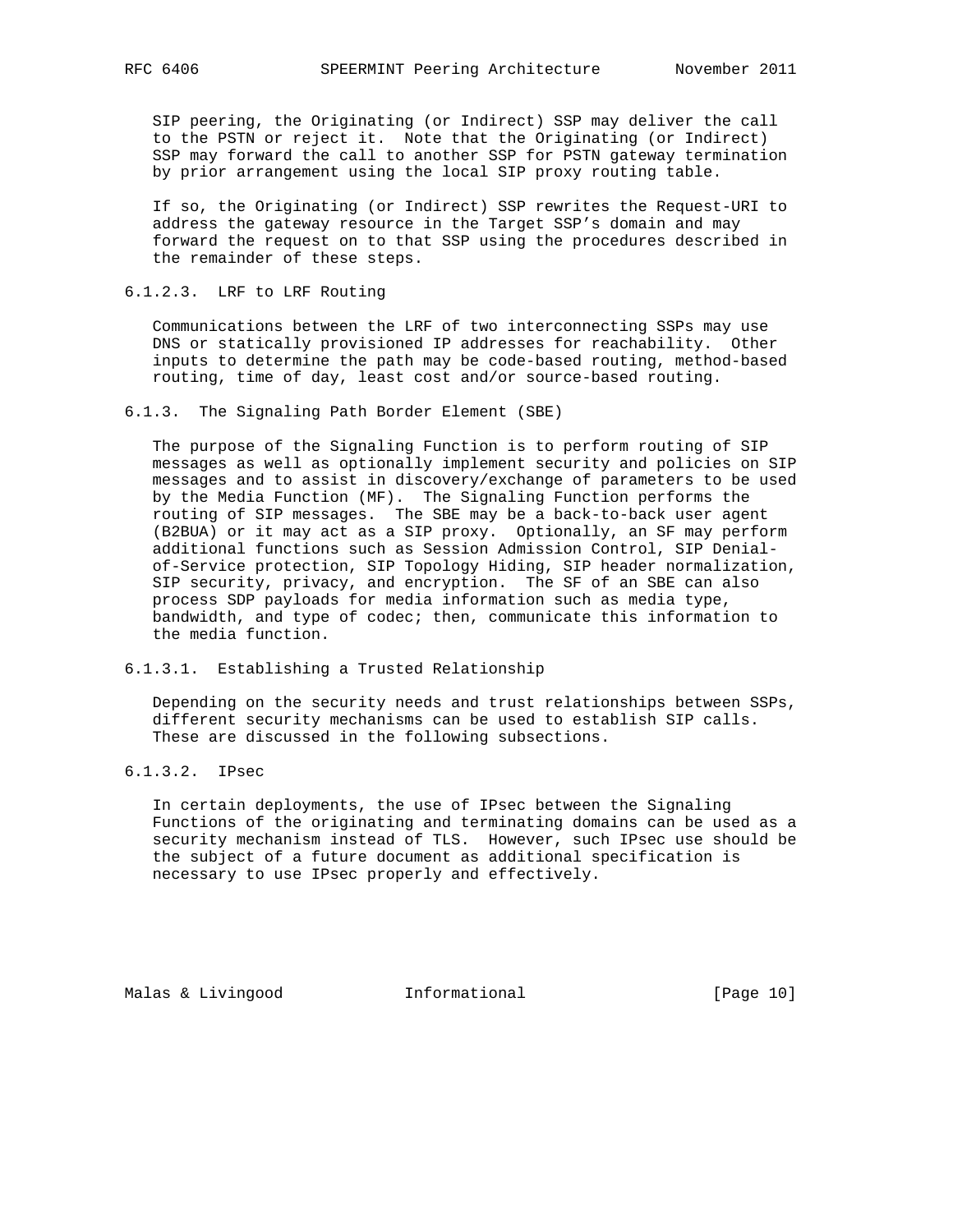SIP peering, the Originating (or Indirect) SSP may deliver the call to the PSTN or reject it. Note that the Originating (or Indirect) SSP may forward the call to another SSP for PSTN gateway termination by prior arrangement using the local SIP proxy routing table.

 If so, the Originating (or Indirect) SSP rewrites the Request-URI to address the gateway resource in the Target SSP's domain and may forward the request on to that SSP using the procedures described in the remainder of these steps.

#### 6.1.2.3. LRF to LRF Routing

 Communications between the LRF of two interconnecting SSPs may use DNS or statically provisioned IP addresses for reachability. Other inputs to determine the path may be code-based routing, method-based routing, time of day, least cost and/or source-based routing.

## 6.1.3. The Signaling Path Border Element (SBE)

 The purpose of the Signaling Function is to perform routing of SIP messages as well as optionally implement security and policies on SIP messages and to assist in discovery/exchange of parameters to be used by the Media Function (MF). The Signaling Function performs the routing of SIP messages. The SBE may be a back-to-back user agent (B2BUA) or it may act as a SIP proxy. Optionally, an SF may perform additional functions such as Session Admission Control, SIP Denial of-Service protection, SIP Topology Hiding, SIP header normalization, SIP security, privacy, and encryption. The SF of an SBE can also process SDP payloads for media information such as media type, bandwidth, and type of codec; then, communicate this information to the media function.

6.1.3.1. Establishing a Trusted Relationship

 Depending on the security needs and trust relationships between SSPs, different security mechanisms can be used to establish SIP calls. These are discussed in the following subsections.

# 6.1.3.2. IPsec

 In certain deployments, the use of IPsec between the Signaling Functions of the originating and terminating domains can be used as a security mechanism instead of TLS. However, such IPsec use should be the subject of a future document as additional specification is necessary to use IPsec properly and effectively.

Malas & Livingood **Informational** [Page 10]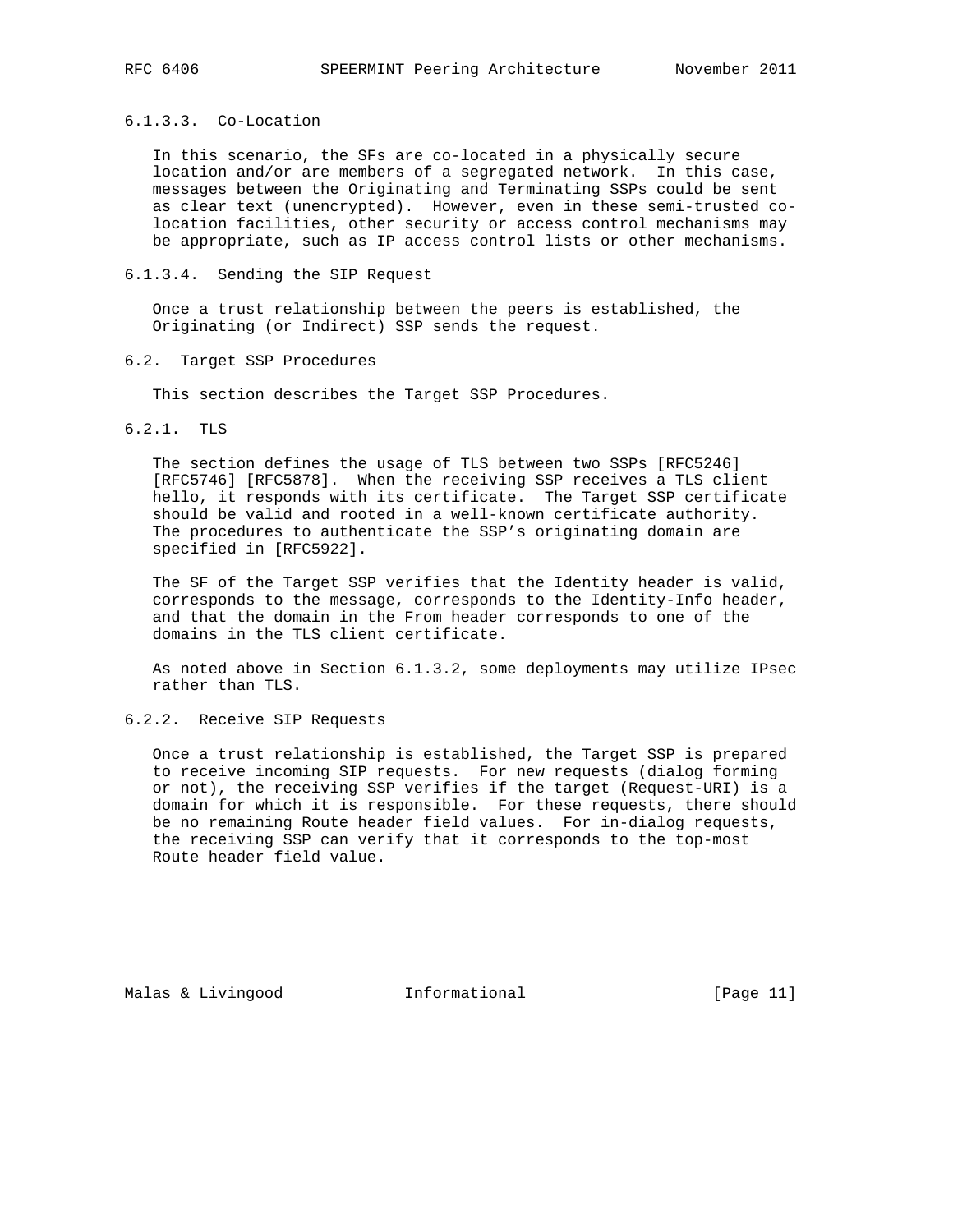# 6.1.3.3. Co-Location

 In this scenario, the SFs are co-located in a physically secure location and/or are members of a segregated network. In this case, messages between the Originating and Terminating SSPs could be sent as clear text (unencrypted). However, even in these semi-trusted co location facilities, other security or access control mechanisms may be appropriate, such as IP access control lists or other mechanisms.

## 6.1.3.4. Sending the SIP Request

 Once a trust relationship between the peers is established, the Originating (or Indirect) SSP sends the request.

### 6.2. Target SSP Procedures

This section describes the Target SSP Procedures.

# 6.2.1. TLS

 The section defines the usage of TLS between two SSPs [RFC5246] [RFC5746] [RFC5878]. When the receiving SSP receives a TLS client hello, it responds with its certificate. The Target SSP certificate should be valid and rooted in a well-known certificate authority. The procedures to authenticate the SSP's originating domain are specified in [RFC5922].

 The SF of the Target SSP verifies that the Identity header is valid, corresponds to the message, corresponds to the Identity-Info header, and that the domain in the From header corresponds to one of the domains in the TLS client certificate.

 As noted above in Section 6.1.3.2, some deployments may utilize IPsec rather than TLS.

# 6.2.2. Receive SIP Requests

 Once a trust relationship is established, the Target SSP is prepared to receive incoming SIP requests. For new requests (dialog forming or not), the receiving SSP verifies if the target (Request-URI) is a domain for which it is responsible. For these requests, there should be no remaining Route header field values. For in-dialog requests, the receiving SSP can verify that it corresponds to the top-most Route header field value.

Malas & Livingood **Informational** [Page 11]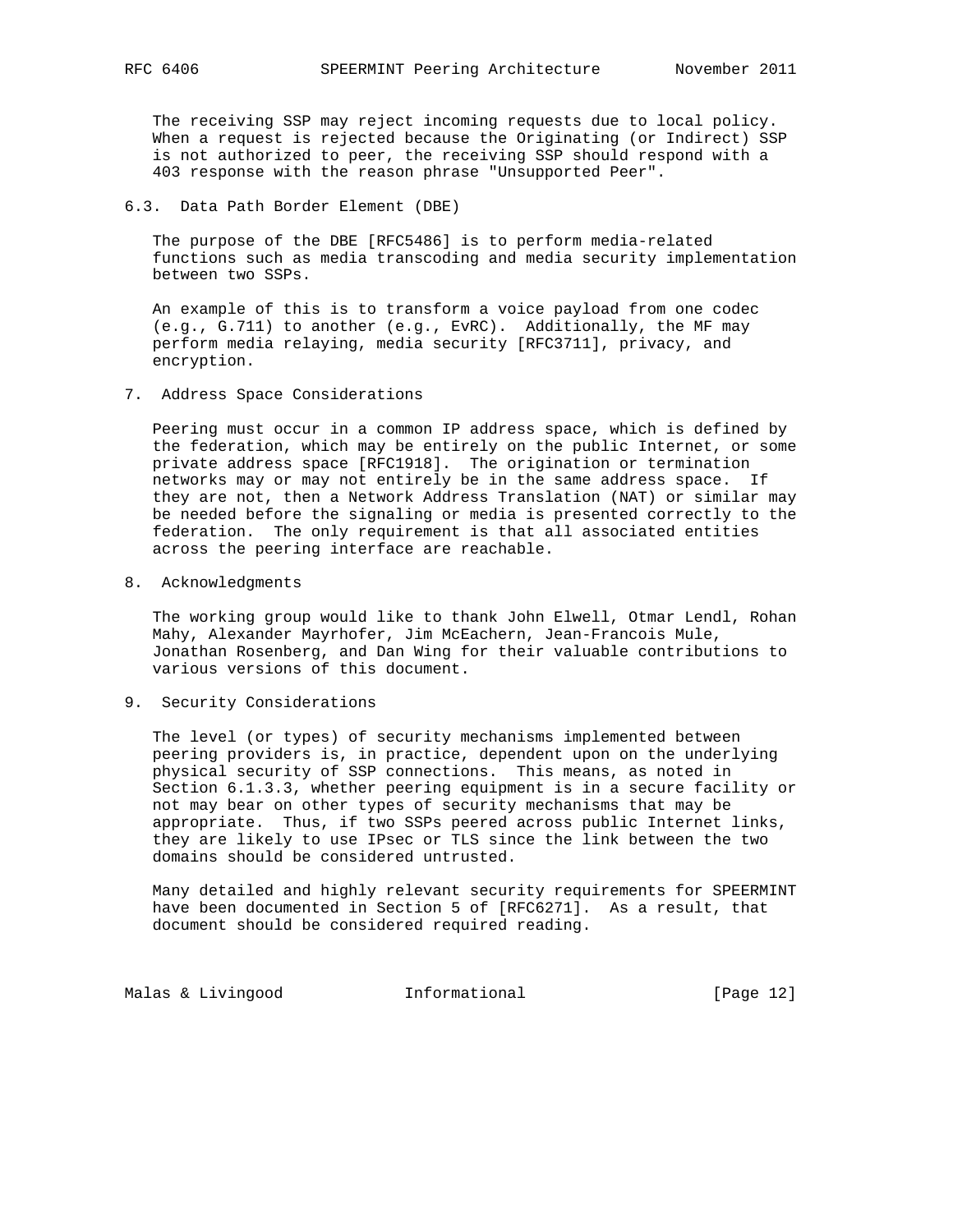The receiving SSP may reject incoming requests due to local policy. When a request is rejected because the Originating (or Indirect) SSP is not authorized to peer, the receiving SSP should respond with a 403 response with the reason phrase "Unsupported Peer".

6.3. Data Path Border Element (DBE)

 The purpose of the DBE [RFC5486] is to perform media-related functions such as media transcoding and media security implementation between two SSPs.

 An example of this is to transform a voice payload from one codec (e.g., G.711) to another (e.g., EvRC). Additionally, the MF may perform media relaying, media security [RFC3711], privacy, and encryption.

7. Address Space Considerations

 Peering must occur in a common IP address space, which is defined by the federation, which may be entirely on the public Internet, or some private address space [RFC1918]. The origination or termination networks may or may not entirely be in the same address space. If they are not, then a Network Address Translation (NAT) or similar may be needed before the signaling or media is presented correctly to the federation. The only requirement is that all associated entities across the peering interface are reachable.

8. Acknowledgments

 The working group would like to thank John Elwell, Otmar Lendl, Rohan Mahy, Alexander Mayrhofer, Jim McEachern, Jean-Francois Mule, Jonathan Rosenberg, and Dan Wing for their valuable contributions to various versions of this document.

9. Security Considerations

 The level (or types) of security mechanisms implemented between peering providers is, in practice, dependent upon on the underlying physical security of SSP connections. This means, as noted in Section 6.1.3.3, whether peering equipment is in a secure facility or not may bear on other types of security mechanisms that may be appropriate. Thus, if two SSPs peered across public Internet links, they are likely to use IPsec or TLS since the link between the two domains should be considered untrusted.

 Many detailed and highly relevant security requirements for SPEERMINT have been documented in Section 5 of [RFC6271]. As a result, that document should be considered required reading.

Malas & Livingood **Informational Informational** [Page 12]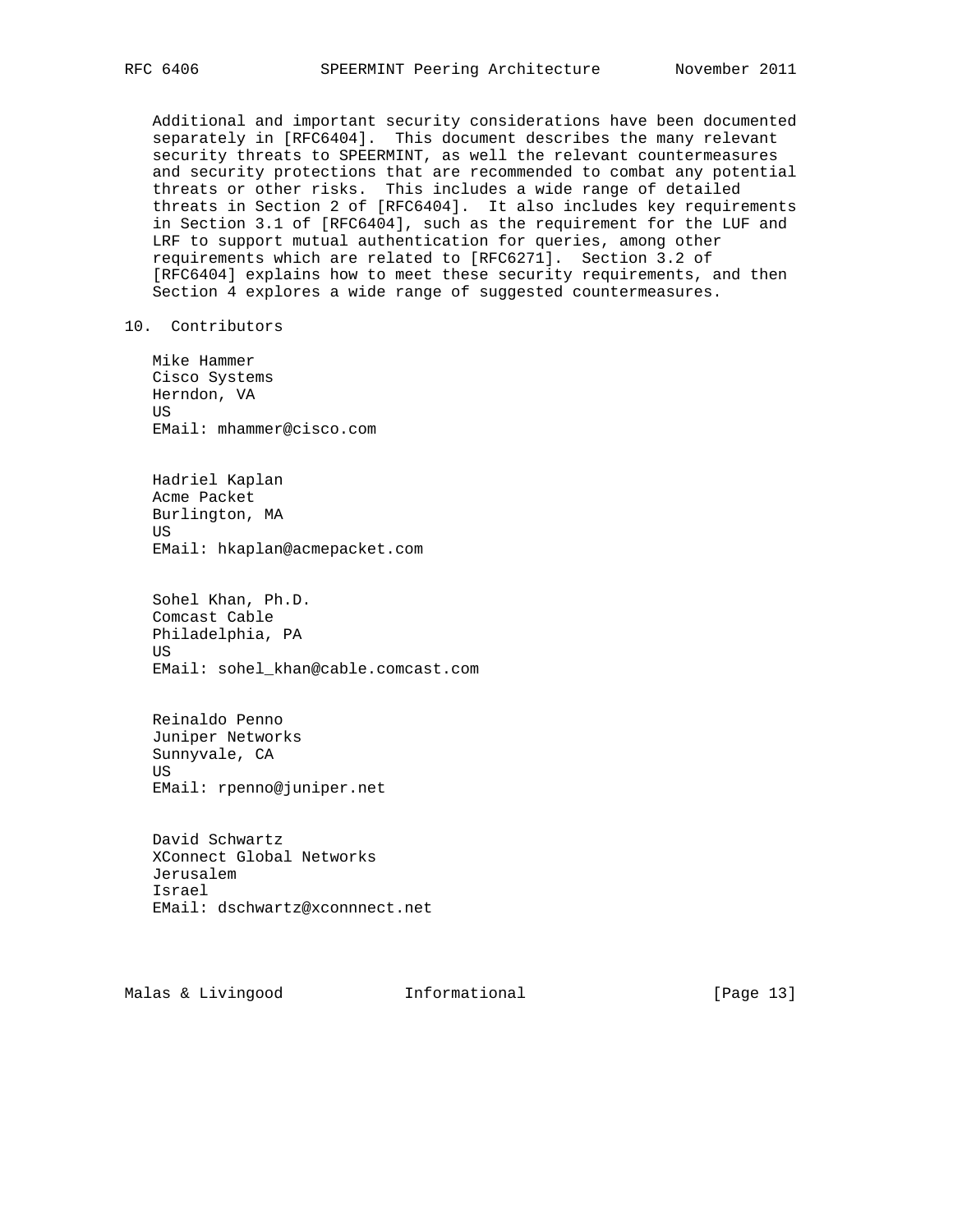Additional and important security considerations have been documented separately in [RFC6404]. This document describes the many relevant security threats to SPEERMINT, as well the relevant countermeasures and security protections that are recommended to combat any potential threats or other risks. This includes a wide range of detailed threats in Section 2 of [RFC6404]. It also includes key requirements in Section 3.1 of [RFC6404], such as the requirement for the LUF and LRF to support mutual authentication for queries, among other requirements which are related to [RFC6271]. Section 3.2 of [RFC6404] explains how to meet these security requirements, and then Section 4 explores a wide range of suggested countermeasures.

10. Contributors

 Mike Hammer Cisco Systems Herndon, VA US EMail: mhammer@cisco.com

 Hadriel Kaplan Acme Packet Burlington, MA US EMail: hkaplan@acmepacket.com

 Sohel Khan, Ph.D. Comcast Cable Philadelphia, PA US EMail: sohel\_khan@cable.comcast.com

 Reinaldo Penno Juniper Networks Sunnyvale, CA US EMail: rpenno@juniper.net

 David Schwartz XConnect Global Networks Jerusalem Israel EMail: dschwartz@xconnnect.net

Malas & Livingood **Informational** [Page 13]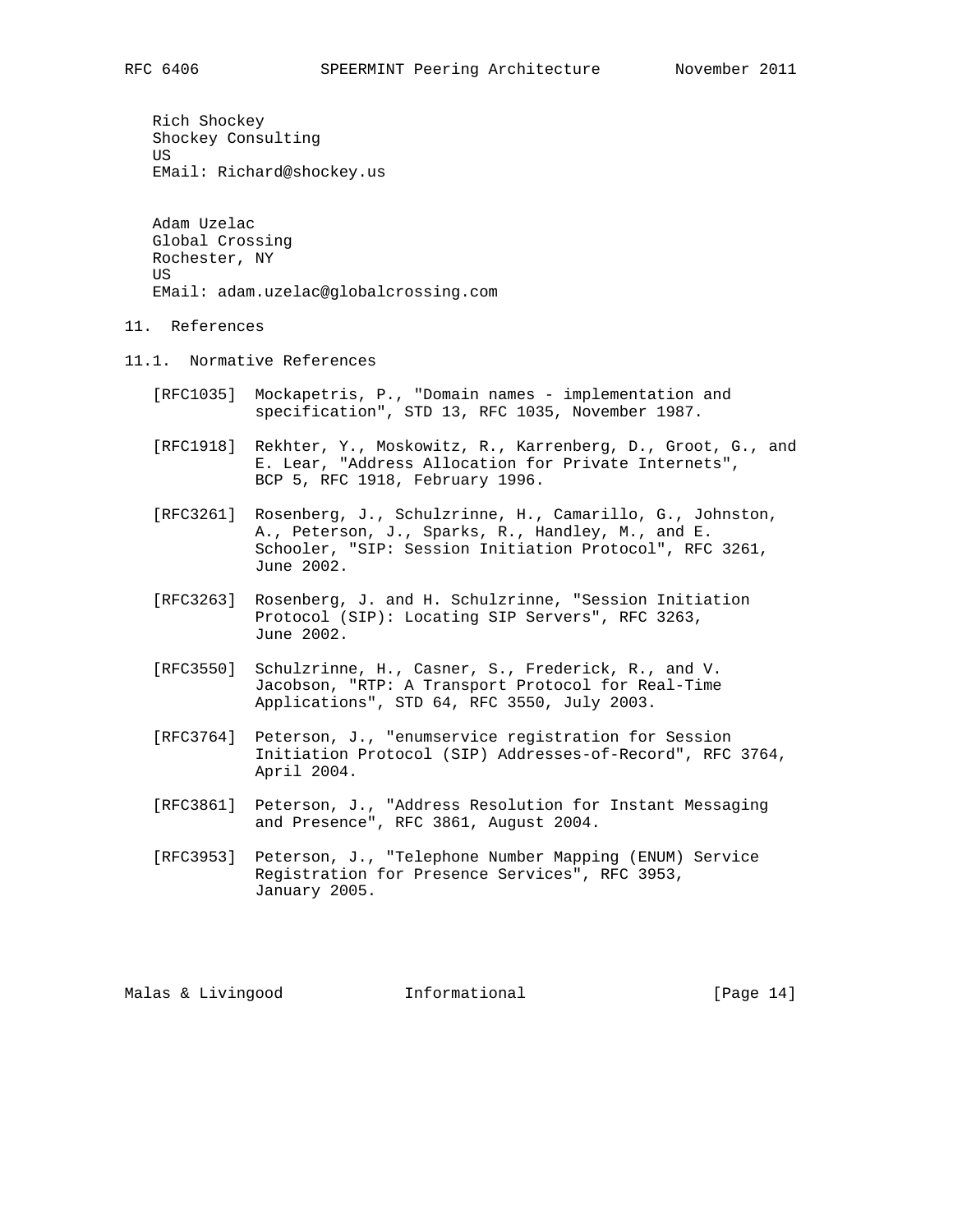Rich Shockey Shockey Consulting US EMail: Richard@shockey.us

 Adam Uzelac Global Crossing Rochester, NY **TIS** EMail: adam.uzelac@globalcrossing.com

- 11. References
- 11.1. Normative References
	- [RFC1035] Mockapetris, P., "Domain names implementation and specification", STD 13, RFC 1035, November 1987.
	- [RFC1918] Rekhter, Y., Moskowitz, R., Karrenberg, D., Groot, G., and E. Lear, "Address Allocation for Private Internets", BCP 5, RFC 1918, February 1996.
	- [RFC3261] Rosenberg, J., Schulzrinne, H., Camarillo, G., Johnston, A., Peterson, J., Sparks, R., Handley, M., and E. Schooler, "SIP: Session Initiation Protocol", RFC 3261, June 2002.
	- [RFC3263] Rosenberg, J. and H. Schulzrinne, "Session Initiation Protocol (SIP): Locating SIP Servers", RFC 3263, June 2002.
	- [RFC3550] Schulzrinne, H., Casner, S., Frederick, R., and V. Jacobson, "RTP: A Transport Protocol for Real-Time Applications", STD 64, RFC 3550, July 2003.
	- [RFC3764] Peterson, J., "enumservice registration for Session Initiation Protocol (SIP) Addresses-of-Record", RFC 3764, April 2004.
	- [RFC3861] Peterson, J., "Address Resolution for Instant Messaging and Presence", RFC 3861, August 2004.
	- [RFC3953] Peterson, J., "Telephone Number Mapping (ENUM) Service Registration for Presence Services", RFC 3953, January 2005.

Malas & Livingood **Informational** [Page 14]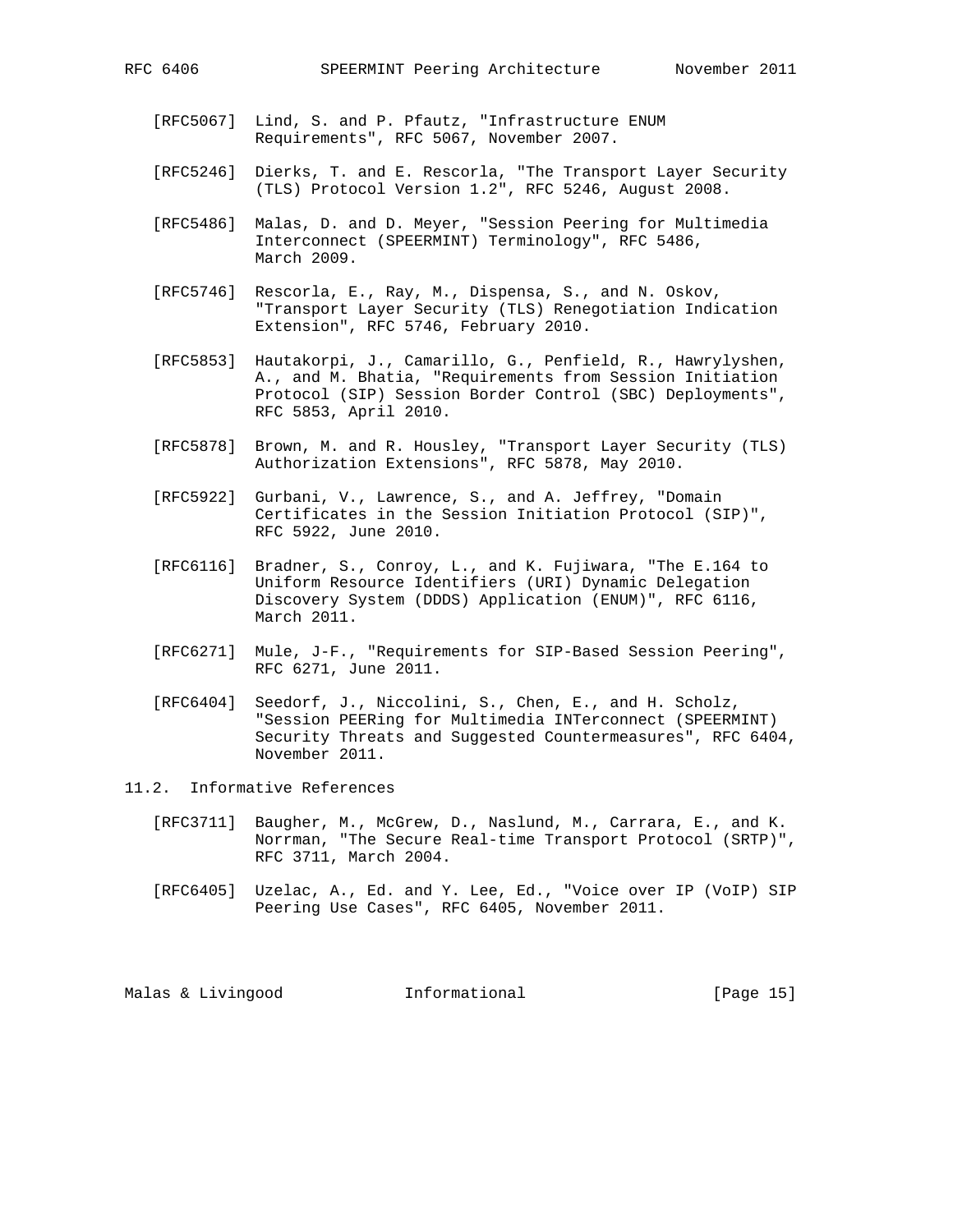- [RFC5067] Lind, S. and P. Pfautz, "Infrastructure ENUM Requirements", RFC 5067, November 2007.
- [RFC5246] Dierks, T. and E. Rescorla, "The Transport Layer Security (TLS) Protocol Version 1.2", RFC 5246, August 2008.
- [RFC5486] Malas, D. and D. Meyer, "Session Peering for Multimedia Interconnect (SPEERMINT) Terminology", RFC 5486, March 2009.
- [RFC5746] Rescorla, E., Ray, M., Dispensa, S., and N. Oskov, "Transport Layer Security (TLS) Renegotiation Indication Extension", RFC 5746, February 2010.
- [RFC5853] Hautakorpi, J., Camarillo, G., Penfield, R., Hawrylyshen, A., and M. Bhatia, "Requirements from Session Initiation Protocol (SIP) Session Border Control (SBC) Deployments", RFC 5853, April 2010.
- [RFC5878] Brown, M. and R. Housley, "Transport Layer Security (TLS) Authorization Extensions", RFC 5878, May 2010.
- [RFC5922] Gurbani, V., Lawrence, S., and A. Jeffrey, "Domain Certificates in the Session Initiation Protocol (SIP)", RFC 5922, June 2010.
- [RFC6116] Bradner, S., Conroy, L., and K. Fujiwara, "The E.164 to Uniform Resource Identifiers (URI) Dynamic Delegation Discovery System (DDDS) Application (ENUM)", RFC 6116, March 2011.
- [RFC6271] Mule, J-F., "Requirements for SIP-Based Session Peering", RFC 6271, June 2011.
- [RFC6404] Seedorf, J., Niccolini, S., Chen, E., and H. Scholz, "Session PEERing for Multimedia INTerconnect (SPEERMINT) Security Threats and Suggested Countermeasures", RFC 6404, November 2011.
- 11.2. Informative References
	- [RFC3711] Baugher, M., McGrew, D., Naslund, M., Carrara, E., and K. Norrman, "The Secure Real-time Transport Protocol (SRTP)", RFC 3711, March 2004.
	- [RFC6405] Uzelac, A., Ed. and Y. Lee, Ed., "Voice over IP (VoIP) SIP Peering Use Cases", RFC 6405, November 2011.

Malas & Livingood **Informational** [Page 15]